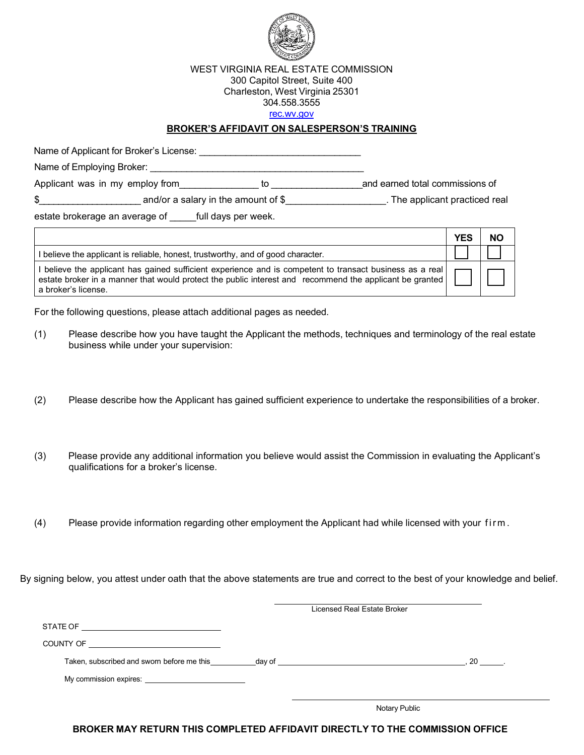

#### WEST VIRGINIA REAL ESTATE COMMISSION 300 Capitol Street, Suite 400 Charleston, West Virginia 25301 304.558.3555 rec.wv.gov

### **BROKER'S AFFIDAVIT ON SALESPERSON'S TRAINING**

Name of Applicant for Broker's License: \_\_\_\_\_\_\_\_\_\_\_\_\_\_\_\_\_\_\_\_\_\_\_\_\_\_\_\_\_\_\_

Name of Employing Broker: \_\_\_\_\_\_\_\_\_\_\_\_\_\_\_\_\_\_\_\_\_\_\_\_\_\_\_\_\_\_\_\_\_\_\_\_\_\_\_\_\_ Applicant was in my employ from equilibrium to entity and earned total commissions of

\$ and/or a salary in the amount of \$ The applicant practiced real

estate brokerage an average of full days per week.

|                                                                                                                                                                                                                                            | <b>YES</b> | <b>NO</b> |
|--------------------------------------------------------------------------------------------------------------------------------------------------------------------------------------------------------------------------------------------|------------|-----------|
| I believe the applicant is reliable, honest, trustworthy, and of good character.                                                                                                                                                           |            |           |
| l believe the applicant has gained sufficient experience and is competent to transact business as a real<br>estate broker in a manner that would protect the public interest and recommend the applicant be granted<br>a broker's license. |            |           |

For the following questions, please attach additional pages as needed.

- (1) Please describe how you have taught the Applicant the methods, techniques and terminology of the real estate business while under your supervision:
- (2) Please describe how the Applicant has gained sufficient experience to undertake the responsibilities of a broker.
- (3) Please provide any additional information you believe would assist the Commission in evaluating the Applicant's qualifications for a broker's license.
- (4) Please provide information regarding other employment the Applicant had while licensed with your firm .

By signing below, you attest under oath that the above statements are true and correct to the best of your knowledge and belief.

|                                                                                                                                                                                                                                | Licensed Real Estate Broker |    |
|--------------------------------------------------------------------------------------------------------------------------------------------------------------------------------------------------------------------------------|-----------------------------|----|
| STATE OF <u>______________________________</u>                                                                                                                                                                                 |                             |    |
| COUNTY OF THE COUNTY OF                                                                                                                                                                                                        |                             |    |
| Taken, subscribed and sworn before me this day of day of                                                                                                                                                                       |                             | 20 |
| My commission expires: Note that the set of the set of the set of the set of the set of the set of the set of the set of the set of the set of the set of the set of the set of the set of the set of the set of the set of th |                             |    |
|                                                                                                                                                                                                                                |                             |    |
|                                                                                                                                                                                                                                | Notary Public               |    |

**BROKER MAY RETURN THIS COMPLETED AFFIDAVIT DIRECTLY TO THE COMMISSION OFFICE**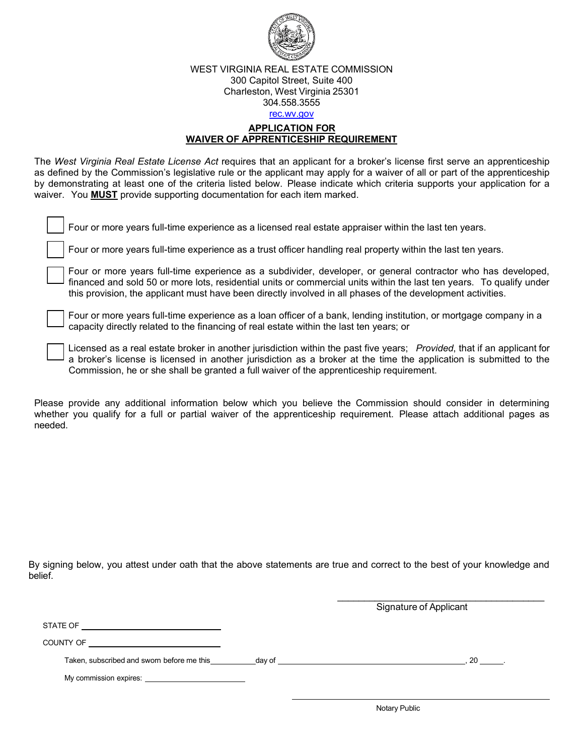

### WEST VIRGINIA REAL ESTATE COMMISSION 300 Capitol Street, Suite 400 Charleston, West Virginia 25301 304.558.3555 rec.wv.gov

### **APPLICATION FOR WAIVER OF APPRENTICESHIP REQUIREMENT**

The *West Virginia Real Estate License Act* requires that an applicant for a broker's license first serve an apprenticeship as defined by the Commission's legislative rule or the applicant may apply for a waiver of all or part of the apprenticeship by demonstrating at least one of the criteria listed below. Please indicate which criteria supports your application for a waiver. You **MUST** provide supporting documentation for each item marked.

| Four or more years full-time experience as a licensed real estate appraiser within the last ten years.       |
|--------------------------------------------------------------------------------------------------------------|
| Four or more years full-time experience as a trust officer handling real property within the last ten years. |

Four or more years full-time experience as a subdivider, developer, or general contractor who has developed, financed and sold 50 or more lots, residential units or commercial units within the last ten years. To qualify under this provision, the applicant must have been directly involved in all phases of the development activities.

Four or more years full-time experience as a loan officer of a bank, lending institution, or mortgage company in a capacity directly related to the financing of real estate within the last ten years; or

Licensed as a real estate broker in another jurisdiction within the past five years; *Provided*, that if an applicant for a broker's license is licensed in another jurisdiction as a broker at the time the application is submitted to the Commission, he or she shall be granted a full waiver of the apprenticeship requirement.

Please provide any additional information below which you believe the Commission should consider in determining whether you qualify for a full or partial waiver of the apprenticeship requirement. Please attach additional pages as needed.

By signing below, you attest under oath that the above statements are true and correct to the best of your knowledge and belief.

Signature of Applicant

\_\_\_\_\_\_\_\_\_\_\_\_\_\_\_\_\_\_\_\_\_\_\_\_\_\_\_\_\_\_\_\_\_\_\_\_\_\_\_

STATE OF

COUNTY OF

Taken, subscribed and sworn before me this day of , 20 .

My commission expires: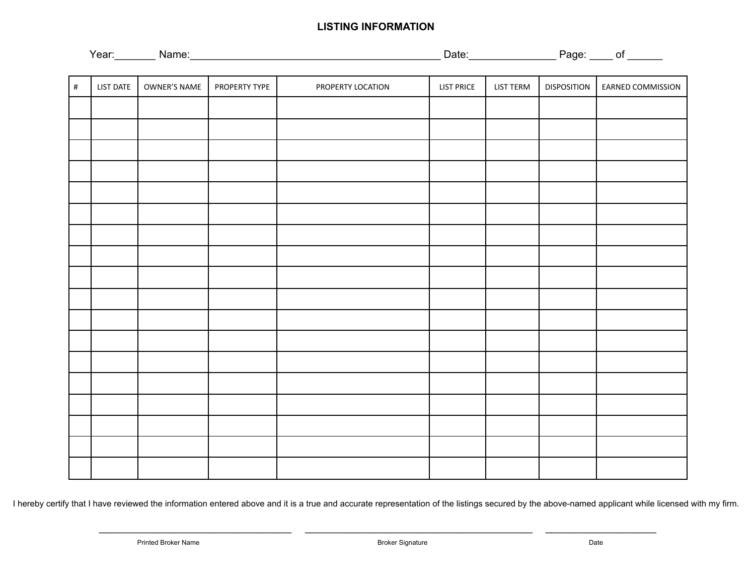# **LISTING INFORMATION**

| --<br>. .<br><u>я.</u> | _ | . .<br><b>__</b> |
|------------------------|---|------------------|
|                        |   |                  |

| $\#$ | LIST DATE | OWNER'S NAME | PROPERTY TYPE | PROPERTY LOCATION | <b>LIST PRICE</b> | LIST TERM | <b>DISPOSITION</b> | EARNED COMMISSION |
|------|-----------|--------------|---------------|-------------------|-------------------|-----------|--------------------|-------------------|
|      |           |              |               |                   |                   |           |                    |                   |
|      |           |              |               |                   |                   |           |                    |                   |
|      |           |              |               |                   |                   |           |                    |                   |
|      |           |              |               |                   |                   |           |                    |                   |
|      |           |              |               |                   |                   |           |                    |                   |
|      |           |              |               |                   |                   |           |                    |                   |
|      |           |              |               |                   |                   |           |                    |                   |
|      |           |              |               |                   |                   |           |                    |                   |
|      |           |              |               |                   |                   |           |                    |                   |
|      |           |              |               |                   |                   |           |                    |                   |
|      |           |              |               |                   |                   |           |                    |                   |
|      |           |              |               |                   |                   |           |                    |                   |
|      |           |              |               |                   |                   |           |                    |                   |
|      |           |              |               |                   |                   |           |                    |                   |
|      |           |              |               |                   |                   |           |                    |                   |
|      |           |              |               |                   |                   |           |                    |                   |
|      |           |              |               |                   |                   |           |                    |                   |
|      |           |              |               |                   |                   |           |                    |                   |

I hereby certify that I have reviewed the information entered above and it is a true and accurate representation of the listings secured by the above-named applicant while licensed with my firm.

 $\overline{\phantom{a}}$  , and the set of the set of the set of the set of the set of the set of the set of the set of the set of the set of the set of the set of the set of the set of the set of the set of the set of the set of the s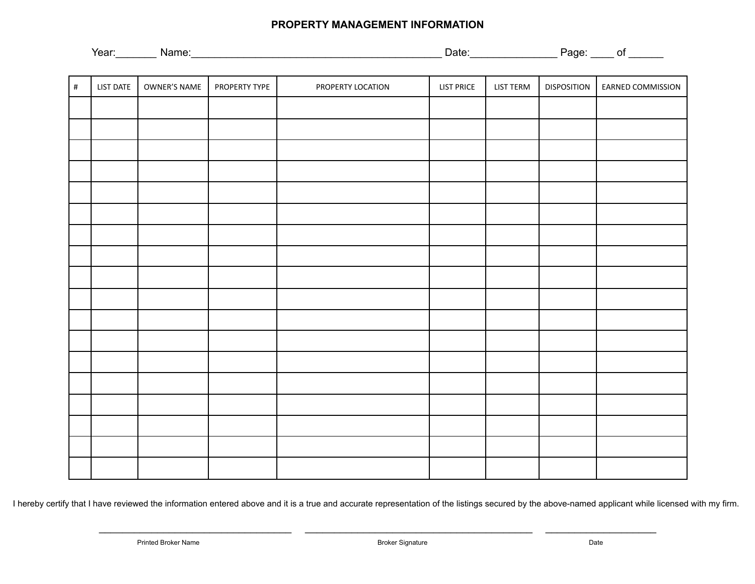## **PROPERTY MANAGEMENT INFORMATION**

| $\#$ | LIST DATE | OWNER'S NAME | PROPERTY TYPE | PROPERTY LOCATION | <b>LIST PRICE</b> | <b>LIST TERM</b> | <b>DISPOSITION</b> | EARNED COMMISSION |
|------|-----------|--------------|---------------|-------------------|-------------------|------------------|--------------------|-------------------|
|      |           |              |               |                   |                   |                  |                    |                   |
|      |           |              |               |                   |                   |                  |                    |                   |
|      |           |              |               |                   |                   |                  |                    |                   |
|      |           |              |               |                   |                   |                  |                    |                   |
|      |           |              |               |                   |                   |                  |                    |                   |
|      |           |              |               |                   |                   |                  |                    |                   |
|      |           |              |               |                   |                   |                  |                    |                   |
|      |           |              |               |                   |                   |                  |                    |                   |
|      |           |              |               |                   |                   |                  |                    |                   |
|      |           |              |               |                   |                   |                  |                    |                   |
|      |           |              |               |                   |                   |                  |                    |                   |
|      |           |              |               |                   |                   |                  |                    |                   |
|      |           |              |               |                   |                   |                  |                    |                   |
|      |           |              |               |                   |                   |                  |                    |                   |
|      |           |              |               |                   |                   |                  |                    |                   |
|      |           |              |               |                   |                   |                  |                    |                   |
|      |           |              |               |                   |                   |                  |                    |                   |
|      |           |              |               |                   |                   |                  |                    |                   |

I hereby certify that I have reviewed the information entered above and it is a true and accurate representation of the listings secured by the above-named applicant while licensed with my firm.

 $\overline{\phantom{a}}$  , and the set of the set of the set of the set of the set of the set of the set of the set of the set of the set of the set of the set of the set of the set of the set of the set of the set of the set of the s